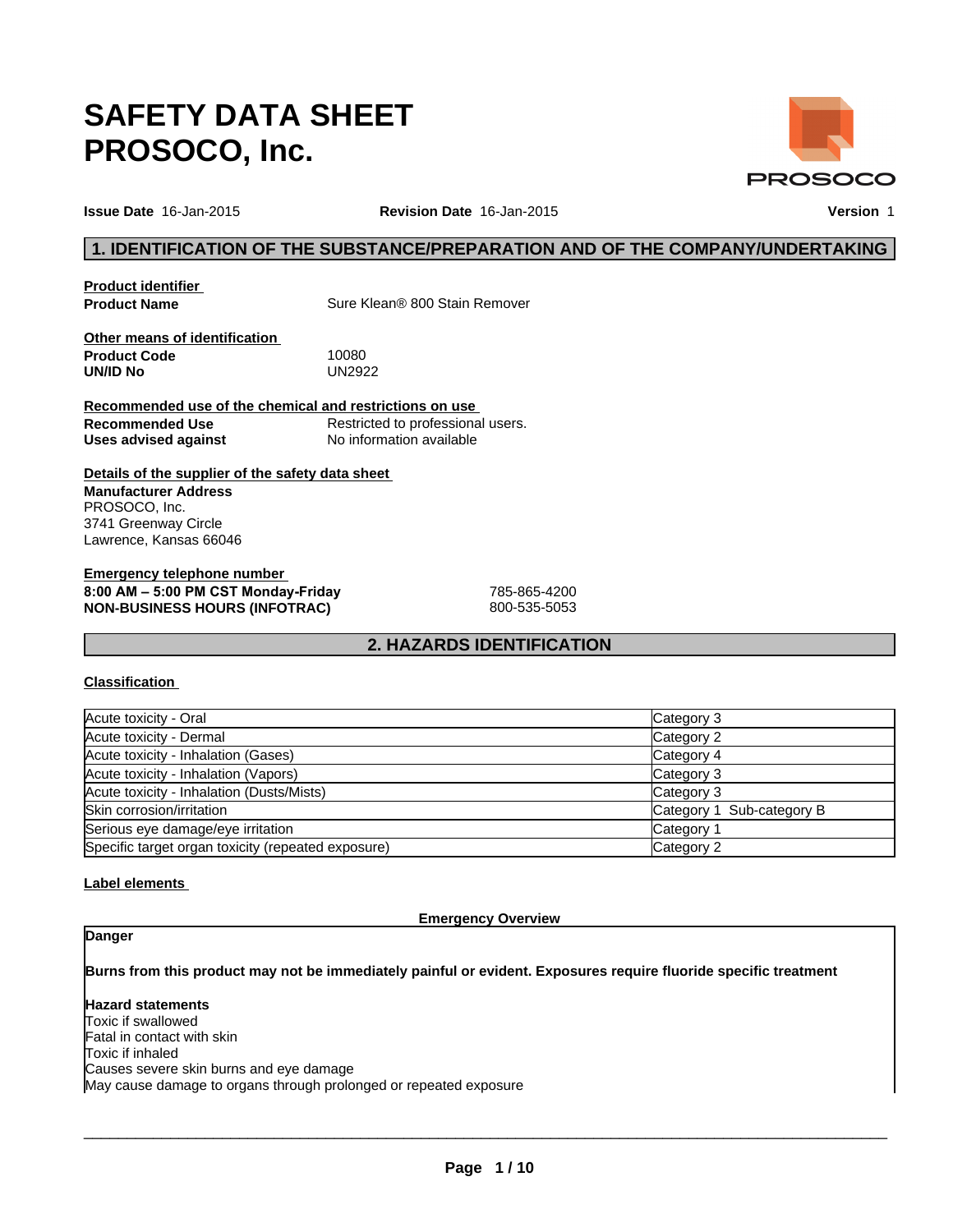# **SAFETY DATA SHEET PROSOCO, Inc.**

**Issue Date** 16-Jan-2015 **Revision Date** 16-Jan-2015 **Version** 1

**PROSOCO** 

# **1. IDENTIFICATION OF THE SUBSTANCE/PREPARATION AND OF THE COMPANY/UNDERTAKING**

**Product identifier** 

**Product Name** Sure Klean® 800 Stain Remover

**Other means of identification Product Code** 10080<br> **UN/ID No** 100822 **UN/ID No** 

**Recommended use of the chemical and restrictions on use Recommended Use** Restricted to professional users. **Uses advised against** No information available

**Details of the supplier of the safety data sheet Manufacturer Address** PROSOCO, Inc. 3741 Greenway Circle Lawrence, Kansas 66046

**Emergency telephone number 8:00AM–5:00PMCSTMonday-Friday** 785-865-4200 **NON-BUSINESS HOURS (INFOTRAC)** 800-535-5053

# **2. HAZARDS IDENTIFICATION**

#### **Classification**

| Acute toxicity - Oral                              | Category 3                |
|----------------------------------------------------|---------------------------|
| Acute toxicity - Dermal                            | Category 2                |
| Acute toxicity - Inhalation (Gases)                | Category 4                |
| Acute toxicity - Inhalation (Vapors)               | Category 3                |
| Acute toxicity - Inhalation (Dusts/Mists)          | Category 3                |
| Skin corrosion/irritation                          | Category 1 Sub-category B |
| Serious eye damage/eye irritation                  | Category 1                |
| Specific target organ toxicity (repeated exposure) | Category 2                |

#### **Label elements**

#### **Emergency Overview**

### **Danger**

**Burns from this product may not be immediately painful or evident. Exposures require fluoride specific treatment**

**Hazard statements** Toxic if swallowed Fatal in contact with skin Toxic if inhaled Causes severe skin burns and eye damage May cause damage to organs through prolonged or repeated exposure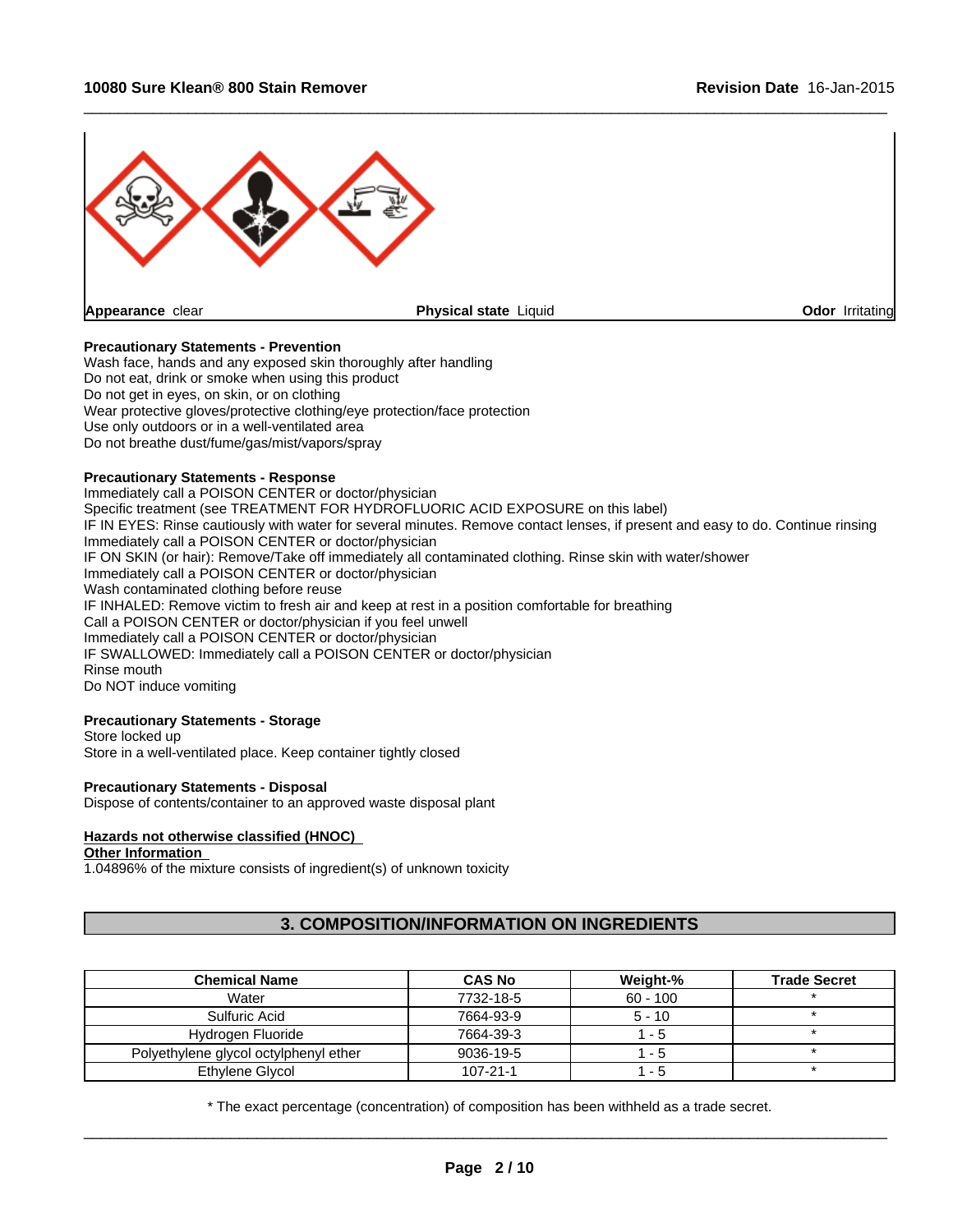

#### **Precautionary Statements - Prevention**

Wash face, hands and any exposed skin thoroughly after handling Do not eat, drink or smoke when using this product Do not get in eyes, on skin, or on clothing Wear protective gloves/protective clothing/eye protection/face protection Use only outdoors or in a well-ventilated area Do not breathe dust/fume/gas/mist/vapors/spray

#### **Precautionary Statements - Response**

Immediately call a POISON CENTER or doctor/physician Specific treatment (see TREATMENT FOR HYDROFLUORIC ACID EXPOSURE on this label) IF IN EYES: Rinse cautiously with water for several minutes. Remove contact lenses, if present and easy to do. Continue rinsing Immediately call a POISON CENTER or doctor/physician IF ON SKIN (or hair): Remove/Take off immediately all contaminated clothing. Rinse skin with water/shower Immediately call a POISON CENTER or doctor/physician Wash contaminated clothing before reuse IF INHALED: Remove victim to fresh air and keep at rest in a position comfortable for breathing Call a POISON CENTER or doctor/physician if you feel unwell Immediately call a POISON CENTER or doctor/physician IF SWALLOWED: Immediately call a POISON CENTER or doctor/physician Rinse mouth Do NOT induce vomiting

# **Precautionary Statements - Storage**

Store locked up Store in a well-ventilated place. Keep container tightly closed

#### **Precautionary Statements - Disposal**

Dispose of contents/container to an approved waste disposal plant

#### **Hazards not otherwise classified (HNOC)**

#### **Other Information**

1.04896% of the mixture consists of ingredient(s) of unknown toxicity

# **3. COMPOSITION/INFORMATION ON INGREDIENTS**

| <b>Chemical Name</b>                  | <b>CAS No</b>  | Weight-%   | <b>Trade Secret</b> |
|---------------------------------------|----------------|------------|---------------------|
| Water                                 | 7732-18-5      | $60 - 100$ |                     |
| Sulfuric Acid                         | 7664-93-9      | $5 - 10$   |                     |
| Hydrogen Fluoride                     | 7664-39-3      | - 5        |                     |
| Polyethylene glycol octylphenyl ether | 9036-19-5      | - 5        |                     |
| Ethylene Glycol                       | $107 - 21 - 1$ | -5         |                     |

\* The exact percentage (concentration) of composition has been withheld as a trade secret.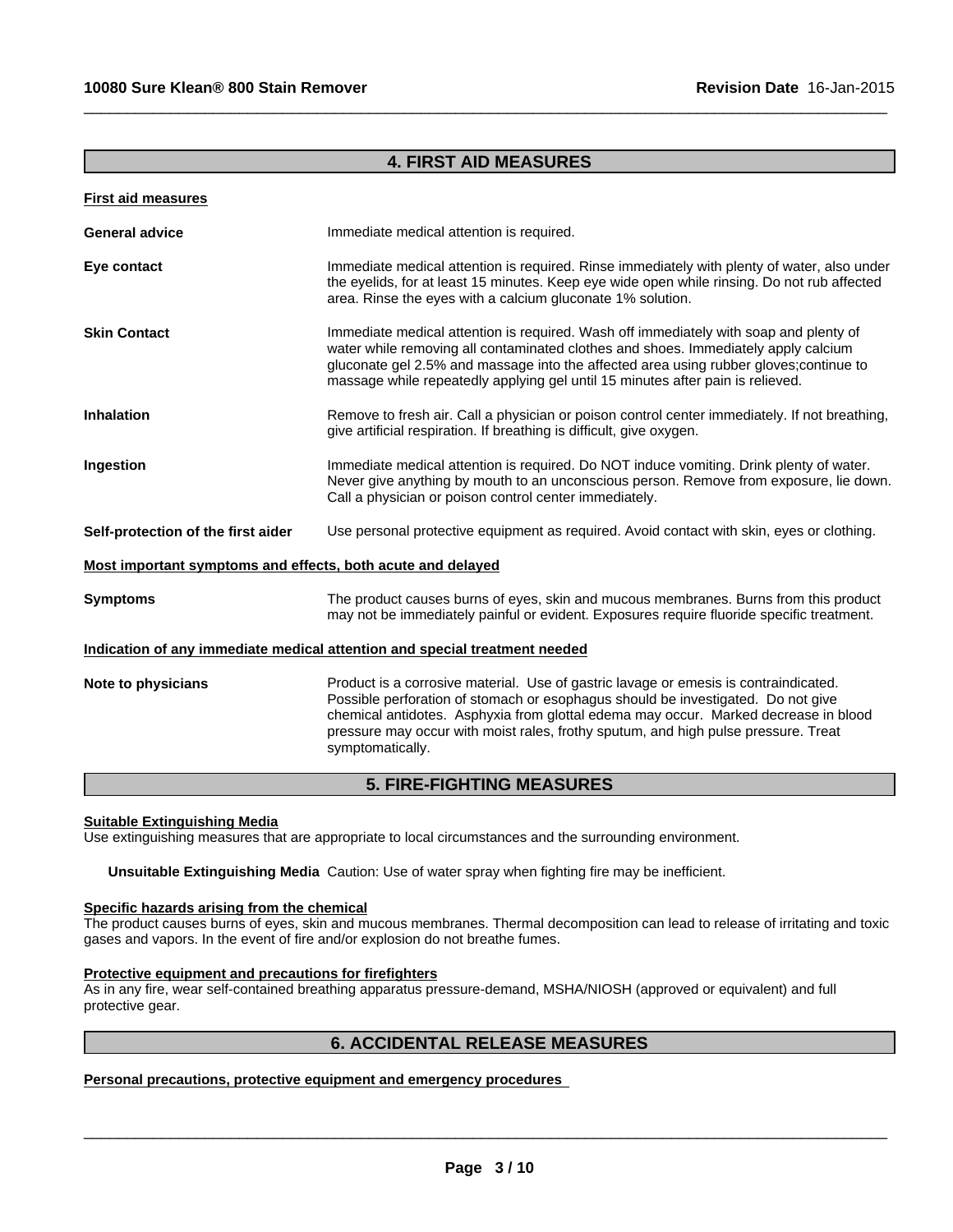# **4. FIRST AID MEASURES**

 $\_$  ,  $\_$  ,  $\_$  ,  $\_$  ,  $\_$  ,  $\_$  ,  $\_$  ,  $\_$  ,  $\_$  ,  $\_$  ,  $\_$  ,  $\_$  ,  $\_$  ,  $\_$  ,  $\_$  ,  $\_$  ,  $\_$  ,  $\_$  ,  $\_$  ,  $\_$  ,  $\_$  ,  $\_$  ,  $\_$  ,  $\_$  ,  $\_$  ,  $\_$  ,  $\_$  ,  $\_$  ,  $\_$  ,  $\_$  ,  $\_$  ,  $\_$  ,  $\_$  ,  $\_$  ,  $\_$  ,  $\_$  ,  $\_$  ,

| <b>First aid measures</b>                                   |                                                                                                                                                                                                                                                                                                                                                                           |
|-------------------------------------------------------------|---------------------------------------------------------------------------------------------------------------------------------------------------------------------------------------------------------------------------------------------------------------------------------------------------------------------------------------------------------------------------|
| <b>General advice</b>                                       | Immediate medical attention is required.                                                                                                                                                                                                                                                                                                                                  |
| Eye contact                                                 | Immediate medical attention is required. Rinse immediately with plenty of water, also under<br>the eyelids, for at least 15 minutes. Keep eye wide open while rinsing. Do not rub affected<br>area. Rinse the eyes with a calcium gluconate 1% solution.                                                                                                                  |
| <b>Skin Contact</b>                                         | Immediate medical attention is required. Wash off immediately with soap and plenty of<br>water while removing all contaminated clothes and shoes. Immediately apply calcium<br>gluconate gel 2.5% and massage into the affected area using rubber gloves; continue to<br>massage while repeatedly applying gel until 15 minutes after pain is relieved.                   |
| Inhalation                                                  | Remove to fresh air. Call a physician or poison control center immediately. If not breathing,<br>give artificial respiration. If breathing is difficult, give oxygen.                                                                                                                                                                                                     |
| Ingestion                                                   | Immediate medical attention is required. Do NOT induce vomiting. Drink plenty of water.<br>Never give anything by mouth to an unconscious person. Remove from exposure, lie down.<br>Call a physician or poison control center immediately.                                                                                                                               |
| Self-protection of the first aider                          | Use personal protective equipment as required. Avoid contact with skin, eyes or clothing.                                                                                                                                                                                                                                                                                 |
| Most important symptoms and effects, both acute and delayed |                                                                                                                                                                                                                                                                                                                                                                           |
| <b>Symptoms</b>                                             | The product causes burns of eyes, skin and mucous membranes. Burns from this product<br>may not be immediately painful or evident. Exposures require fluoride specific treatment.                                                                                                                                                                                         |
|                                                             | Indication of any immediate medical attention and special treatment needed                                                                                                                                                                                                                                                                                                |
| Note to physicians                                          | Product is a corrosive material. Use of gastric lavage or emesis is contraindicated.<br>Possible perforation of stomach or esophagus should be investigated. Do not give<br>chemical antidotes. Asphyxia from glottal edema may occur. Marked decrease in blood<br>pressure may occur with moist rales, frothy sputum, and high pulse pressure. Treat<br>symptomatically. |
|                                                             |                                                                                                                                                                                                                                                                                                                                                                           |

# **5. FIRE-FIGHTING MEASURES**

#### **Suitable Extinguishing Media**

Use extinguishing measures that are appropriate to local circumstances and the surrounding environment.

**Unsuitable Extinguishing Media** Caution: Use of water spray when fighting fire may be inefficient.

# **Specific hazards arising from the chemical**

The product causes burns of eyes, skin and mucous membranes. Thermal decomposition can lead to release of irritating and toxic gases and vapors. In the event of fire and/or explosion do not breathe fumes.

# **Protective equipment and precautions for firefighters**

As in any fire, wear self-contained breathing apparatus pressure-demand, MSHA/NIOSH (approved or equivalent) and full protective gear.

\_\_\_\_\_\_\_\_\_\_\_\_\_\_\_\_\_\_\_\_\_\_\_\_\_\_\_\_\_\_\_\_\_\_\_\_\_\_\_\_\_\_\_\_\_\_\_\_\_\_\_\_\_\_\_\_\_\_\_\_\_\_\_\_\_\_\_\_\_\_\_\_\_\_\_\_\_\_\_\_\_\_\_\_\_\_\_\_\_\_\_\_\_ **6. ACCIDENTAL RELEASE MEASURES Personal precautions, protective equipment and emergency procedures**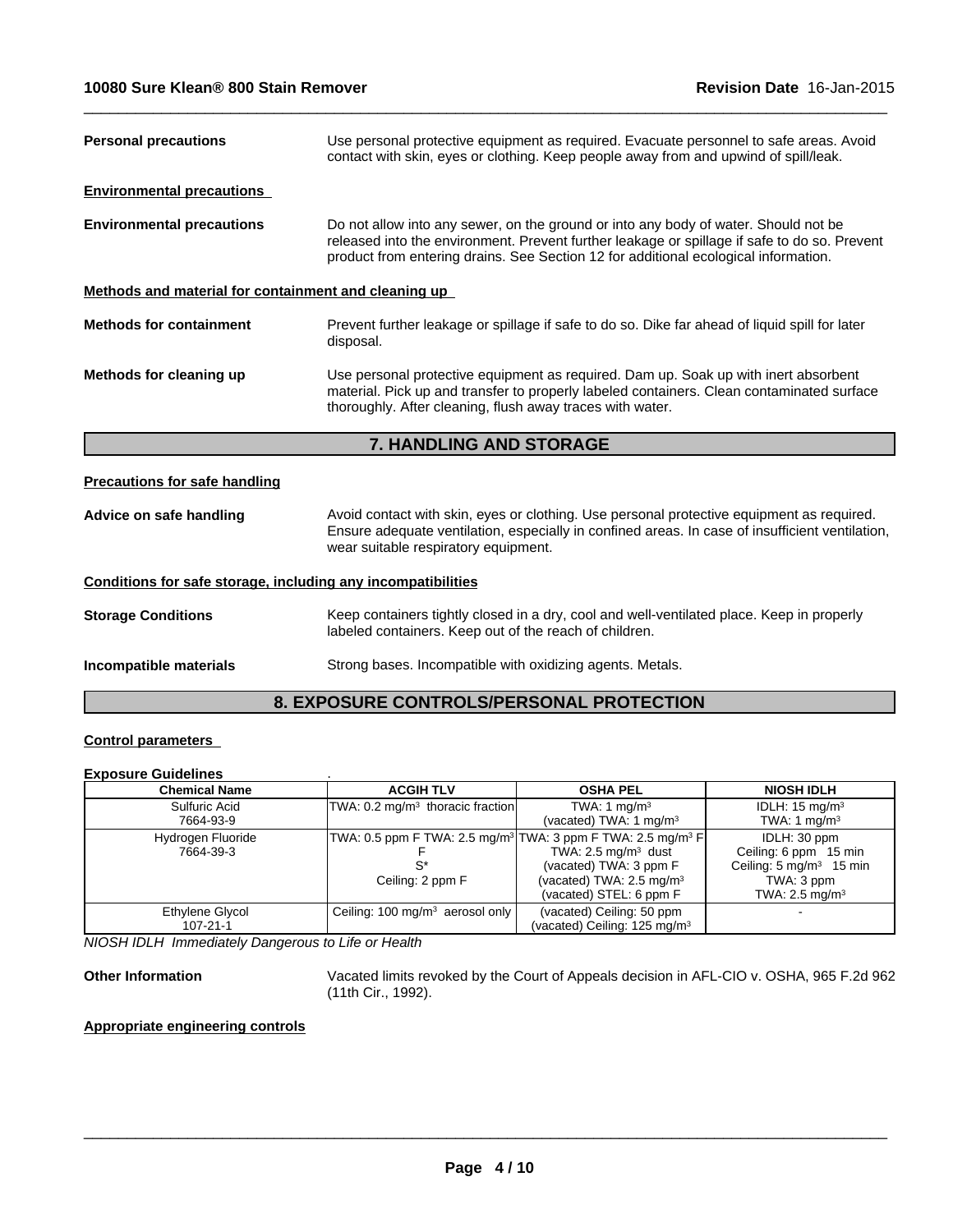| <b>Personal precautions</b>                                  | Use personal protective equipment as required. Evacuate personnel to safe areas. Avoid<br>contact with skin, eyes or clothing. Keep people away from and upwind of spill/leak.                                                                                             |  |  |
|--------------------------------------------------------------|----------------------------------------------------------------------------------------------------------------------------------------------------------------------------------------------------------------------------------------------------------------------------|--|--|
| <b>Environmental precautions</b>                             |                                                                                                                                                                                                                                                                            |  |  |
| <b>Environmental precautions</b>                             | Do not allow into any sewer, on the ground or into any body of water. Should not be<br>released into the environment. Prevent further leakage or spillage if safe to do so. Prevent<br>product from entering drains. See Section 12 for additional ecological information. |  |  |
| Methods and material for containment and cleaning up         |                                                                                                                                                                                                                                                                            |  |  |
| <b>Methods for containment</b>                               | Prevent further leakage or spillage if safe to do so. Dike far ahead of liquid spill for later<br>disposal.                                                                                                                                                                |  |  |
| Methods for cleaning up                                      | Use personal protective equipment as required. Dam up. Soak up with inert absorbent<br>material. Pick up and transfer to properly labeled containers. Clean contaminated surface<br>thoroughly. After cleaning, flush away traces with water.                              |  |  |
|                                                              | 7. HANDLING AND STORAGE                                                                                                                                                                                                                                                    |  |  |
| <b>Precautions for safe handling</b>                         |                                                                                                                                                                                                                                                                            |  |  |
| Advice on safe handling                                      | Avoid contact with skin, eyes or clothing. Use personal protective equipment as required.<br>Ensure adequate ventilation, especially in confined areas. In case of insufficient ventilation,<br>wear suitable respiratory equipment.                                       |  |  |
| Conditions for safe storage, including any incompatibilities |                                                                                                                                                                                                                                                                            |  |  |
| <b>Storage Conditions</b>                                    | Keep containers tightly closed in a dry, cool and well-ventilated place. Keep in properly<br>labeled containers. Keep out of the reach of children.                                                                                                                        |  |  |

**Incompatible materials** Strong bases. Incompatible with oxidizing agents. Metals.

# **8. EXPOSURE CONTROLS/PERSONAL PROTECTION**

# **Control parameters**

### **Exposure Guidelines** .

| <b>Chemical Name</b> | <b>ACGIH TLV</b>                             | <b>OSHA PEL</b>                                                                     | <b>NIOSH IDLH</b>                  |
|----------------------|----------------------------------------------|-------------------------------------------------------------------------------------|------------------------------------|
| Sulfuric Acid        | TWA: 0.2 mg/m <sup>3</sup> thoracic fraction | TWA: 1 $mq/m3$                                                                      | IDLH: $15 \text{ mg/m}^3$          |
| 7664-93-9            |                                              | (vacated) TWA: 1 $mq/m3$                                                            | TWA: 1 $mq/m3$                     |
| Hydrogen Fluoride    |                                              | TWA: 0.5 ppm F TWA: 2.5 mg/m <sup>3</sup> TWA: 3 ppm F TWA: 2.5 mg/m <sup>3</sup> F | IDLH: 30 ppm                       |
| 7664-39-3            |                                              | TWA: $2.5 \text{ mg/m}^3$ dust                                                      | Ceiling: 6 ppm 15 min              |
|                      |                                              | (vacated) TWA: 3 ppm F                                                              | Ceiling: $5 \text{ mg/m}^3$ 15 min |
|                      | Ceiling: 2 ppm F                             | (vacated) TWA: $2.5 \text{ mg/m}^3$                                                 | TWA: 3 ppm                         |
|                      |                                              | (vacated) STEL: 6 ppm F                                                             | TWA: 2.5 mg/m <sup>3</sup>         |
| Ethylene Glycol      | Ceiling: $100 \text{ mg/m}^3$ aerosol only   | (vacated) Ceiling: 50 ppm                                                           |                                    |
| 107-21-1             |                                              | (vacated) Ceiling: 125 mg/m <sup>3</sup>                                            |                                    |

*NIOSH IDLH Immediately Dangerous to Life or Health*

**Other Information** Vacated limits revoked by the Court of Appeals decision in AFL-CIO v. OSHA, 965 F.2d 962 (11th Cir., 1992).

\_\_\_\_\_\_\_\_\_\_\_\_\_\_\_\_\_\_\_\_\_\_\_\_\_\_\_\_\_\_\_\_\_\_\_\_\_\_\_\_\_\_\_\_\_\_\_\_\_\_\_\_\_\_\_\_\_\_\_\_\_\_\_\_\_\_\_\_\_\_\_\_\_\_\_\_\_\_\_\_\_\_\_\_\_\_\_\_\_\_\_\_\_

# **Appropriate engineering controls**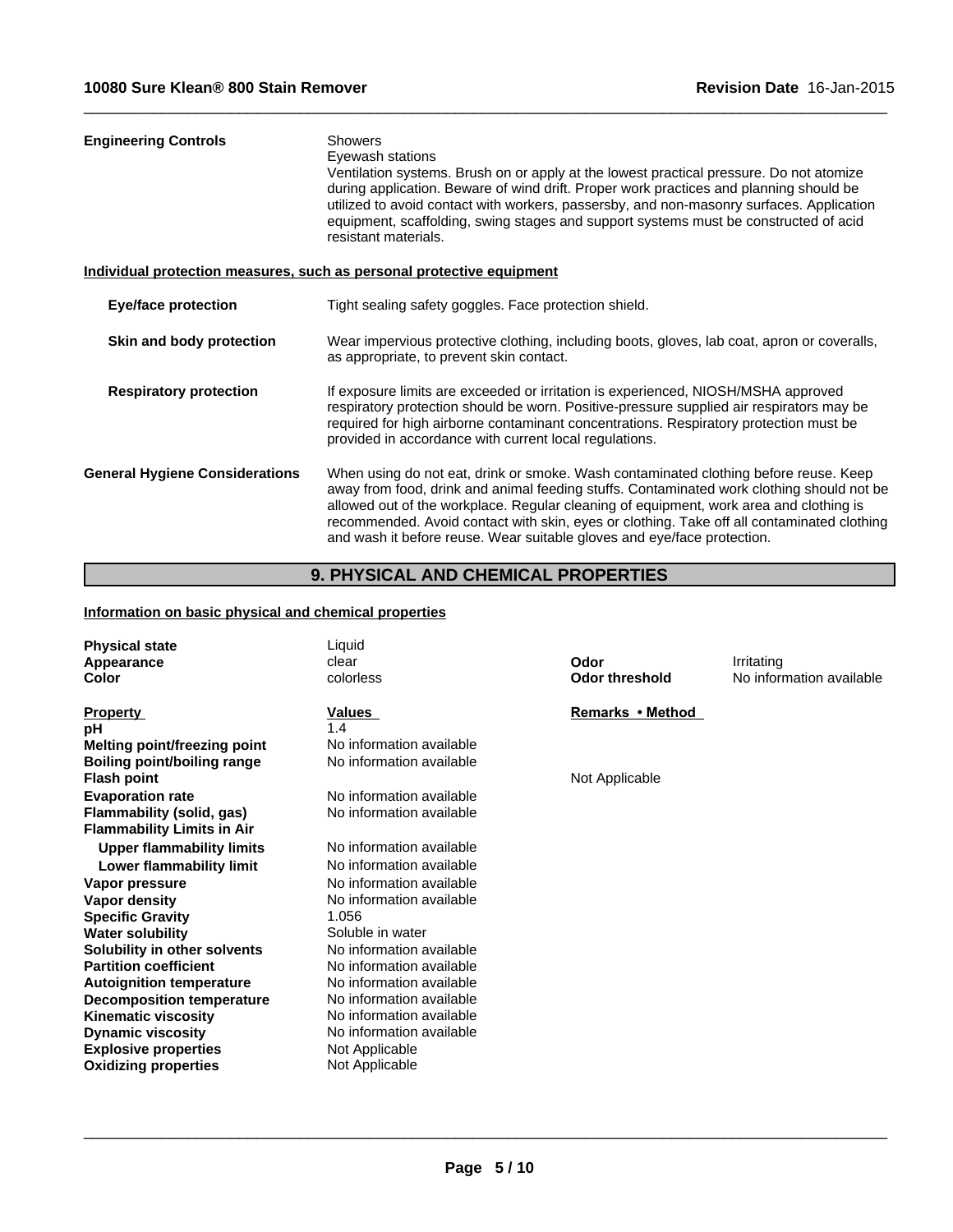| <b>Engineering Controls</b>           | <b>Showers</b><br>Eyewash stations<br>Ventilation systems. Brush on or apply at the lowest practical pressure. Do not atomize<br>during application. Beware of wind drift. Proper work practices and planning should be<br>utilized to avoid contact with workers, passersby, and non-masonry surfaces. Application<br>equipment, scaffolding, swing stages and support systems must be constructed of acid<br>resistant materials.                  |
|---------------------------------------|------------------------------------------------------------------------------------------------------------------------------------------------------------------------------------------------------------------------------------------------------------------------------------------------------------------------------------------------------------------------------------------------------------------------------------------------------|
|                                       | Individual protection measures, such as personal protective equipment                                                                                                                                                                                                                                                                                                                                                                                |
| <b>Eye/face protection</b>            | Tight sealing safety goggles. Face protection shield.                                                                                                                                                                                                                                                                                                                                                                                                |
| Skin and body protection              | Wear impervious protective clothing, including boots, gloves, lab coat, apron or coveralls,<br>as appropriate, to prevent skin contact.                                                                                                                                                                                                                                                                                                              |
| <b>Respiratory protection</b>         | If exposure limits are exceeded or irritation is experienced, NIOSH/MSHA approved<br>respiratory protection should be worn. Positive-pressure supplied air respirators may be<br>required for high airborne contaminant concentrations. Respiratory protection must be<br>provided in accordance with current local regulations.                                                                                                                     |
| <b>General Hygiene Considerations</b> | When using do not eat, drink or smoke. Wash contaminated clothing before reuse. Keep<br>away from food, drink and animal feeding stuffs. Contaminated work clothing should not be<br>allowed out of the workplace. Regular cleaning of equipment, work area and clothing is<br>recommended. Avoid contact with skin, eyes or clothing. Take off all contaminated clothing<br>and wash it before reuse. Wear suitable gloves and eye/face protection. |
|                                       |                                                                                                                                                                                                                                                                                                                                                                                                                                                      |

# **9. PHYSICAL AND CHEMICAL PROPERTIES**

# **Information on basic physical and chemical properties**

| <b>Physical state</b><br>Appearance<br>Color | Liquid<br>clear<br>colorless | Odor<br><b>Odor threshold</b> | Irritating<br>No information available |
|----------------------------------------------|------------------------------|-------------------------------|----------------------------------------|
| <b>Property</b>                              | Values                       | Remarks • Method              |                                        |
| рH                                           | 1.4                          |                               |                                        |
| Melting point/freezing point                 | No information available     |                               |                                        |
| Boiling point/boiling range                  | No information available     |                               |                                        |
| <b>Flash point</b>                           |                              | Not Applicable                |                                        |
| <b>Evaporation rate</b>                      | No information available     |                               |                                        |
| Flammability (solid, gas)                    | No information available     |                               |                                        |
| <b>Flammability Limits in Air</b>            |                              |                               |                                        |
| <b>Upper flammability limits</b>             | No information available     |                               |                                        |
| Lower flammability limit                     | No information available     |                               |                                        |
| Vapor pressure                               | No information available     |                               |                                        |
| Vapor density                                | No information available     |                               |                                        |
| <b>Specific Gravity</b>                      | 1.056                        |                               |                                        |
| <b>Water solubility</b>                      | Soluble in water             |                               |                                        |
| Solubility in other solvents                 | No information available     |                               |                                        |
| <b>Partition coefficient</b>                 | No information available     |                               |                                        |
| <b>Autoignition temperature</b>              | No information available     |                               |                                        |
| <b>Decomposition temperature</b>             | No information available     |                               |                                        |
| <b>Kinematic viscosity</b>                   | No information available     |                               |                                        |
| <b>Dynamic viscosity</b>                     | No information available     |                               |                                        |
| <b>Explosive properties</b>                  | Not Applicable               |                               |                                        |
| <b>Oxidizing properties</b>                  | Not Applicable               |                               |                                        |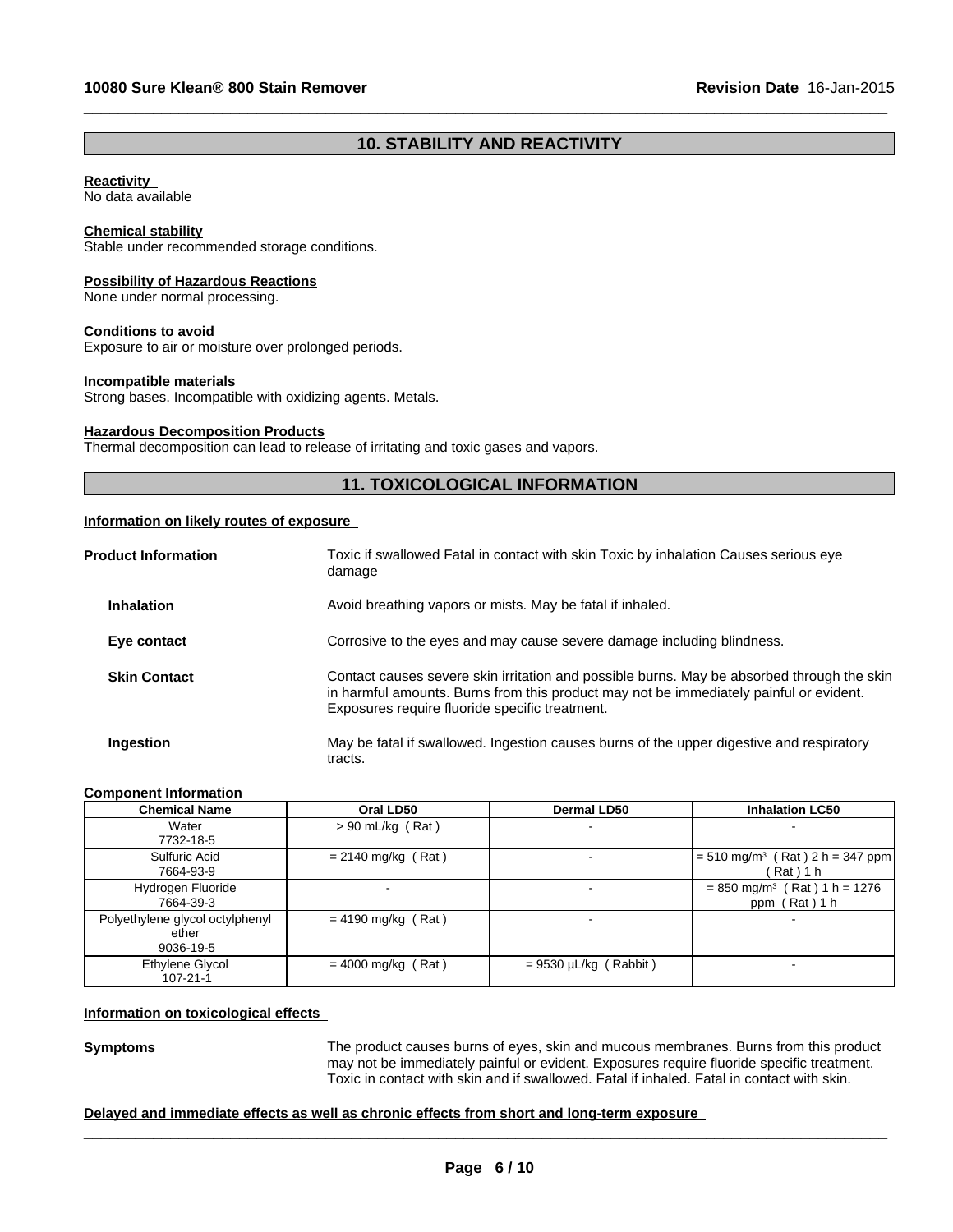# **10. STABILITY AND REACTIVITY**

 $\_$  ,  $\_$  ,  $\_$  ,  $\_$  ,  $\_$  ,  $\_$  ,  $\_$  ,  $\_$  ,  $\_$  ,  $\_$  ,  $\_$  ,  $\_$  ,  $\_$  ,  $\_$  ,  $\_$  ,  $\_$  ,  $\_$  ,  $\_$  ,  $\_$  ,  $\_$  ,  $\_$  ,  $\_$  ,  $\_$  ,  $\_$  ,  $\_$  ,  $\_$  ,  $\_$  ,  $\_$  ,  $\_$  ,  $\_$  ,  $\_$  ,  $\_$  ,  $\_$  ,  $\_$  ,  $\_$  ,  $\_$  ,  $\_$  ,

#### **Reactivity**

No data available

#### **Chemical stability**

Stable under recommended storage conditions.

#### **Possibility of Hazardous Reactions**

None under normal processing.

#### **Conditions to avoid**

Exposure to air or moisture over prolonged periods.

#### **Incompatible materials**

Strong bases. Incompatible with oxidizing agents. Metals.

#### **Hazardous Decomposition Products**

Thermal decomposition can lead to release of irritating and toxic gases and vapors.

# **11. TOXICOLOGICAL INFORMATION**

#### **Information on likely routes of exposure**

| <b>Product Information</b> | Toxic if swallowed Fatal in contact with skin Toxic by inhalation Causes serious eye<br>damage                                                                                                                                         |
|----------------------------|----------------------------------------------------------------------------------------------------------------------------------------------------------------------------------------------------------------------------------------|
| <b>Inhalation</b>          | Avoid breathing vapors or mists. May be fatal if inhaled.                                                                                                                                                                              |
| Eye contact                | Corrosive to the eyes and may cause severe damage including blindness.                                                                                                                                                                 |
| <b>Skin Contact</b>        | Contact causes severe skin irritation and possible burns. May be absorbed through the skin<br>in harmful amounts. Burns from this product may not be immediately painful or evident.<br>Exposures require fluoride specific treatment. |
| Ingestion                  | May be fatal if swallowed. Ingestion causes burns of the upper digestive and respiratory<br>tracts.                                                                                                                                    |

#### **Component Information**

| <b>Chemical Name</b>                                  | Oral LD50                | Dermal LD50                | <b>Inhalation LC50</b>                                      |
|-------------------------------------------------------|--------------------------|----------------------------|-------------------------------------------------------------|
| Water<br>7732-18-5                                    | $> 90$ mL/kg (Rat)       |                            |                                                             |
| Sulfuric Acid<br>7664-93-9                            | $= 2140$ mg/kg (Rat)     |                            | $= 510$ mg/m <sup>3</sup> (Rat) 2 h = 347 ppm<br>ˈRat ) 1 h |
| Hydrogen Fluoride<br>7664-39-3                        | $\overline{\phantom{0}}$ |                            | $= 850$ mg/m <sup>3</sup> (Rat) 1 h = 1276<br>ppm (Rat) 1 h |
| Polyethylene glycol octylphenyl<br>ether<br>9036-19-5 | $= 4190$ mg/kg (Rat)     |                            |                                                             |
| Ethylene Glycol<br>107-21-1                           | $= 4000$ mg/kg (Rat)     | $= 9530 \mu L/kg$ (Rabbit) |                                                             |

#### **Information on toxicological effects**

Symptoms<br>
The product causes burns of eyes, skin and mucous membranes. Burns from this product<br>
may not be immediately painful or evident. Exposures require fluoride specific treatment.<br>
Toxic in contact with skin and if s may not be immediately painful or evident. Exposures require fluoride specific treatment. Toxic in contact with skin and if swallowed. Fatal if inhaled. Fatal in contact with skin.

#### **Delayed and immediate effects as well as chronic effects from short and long-term exposure**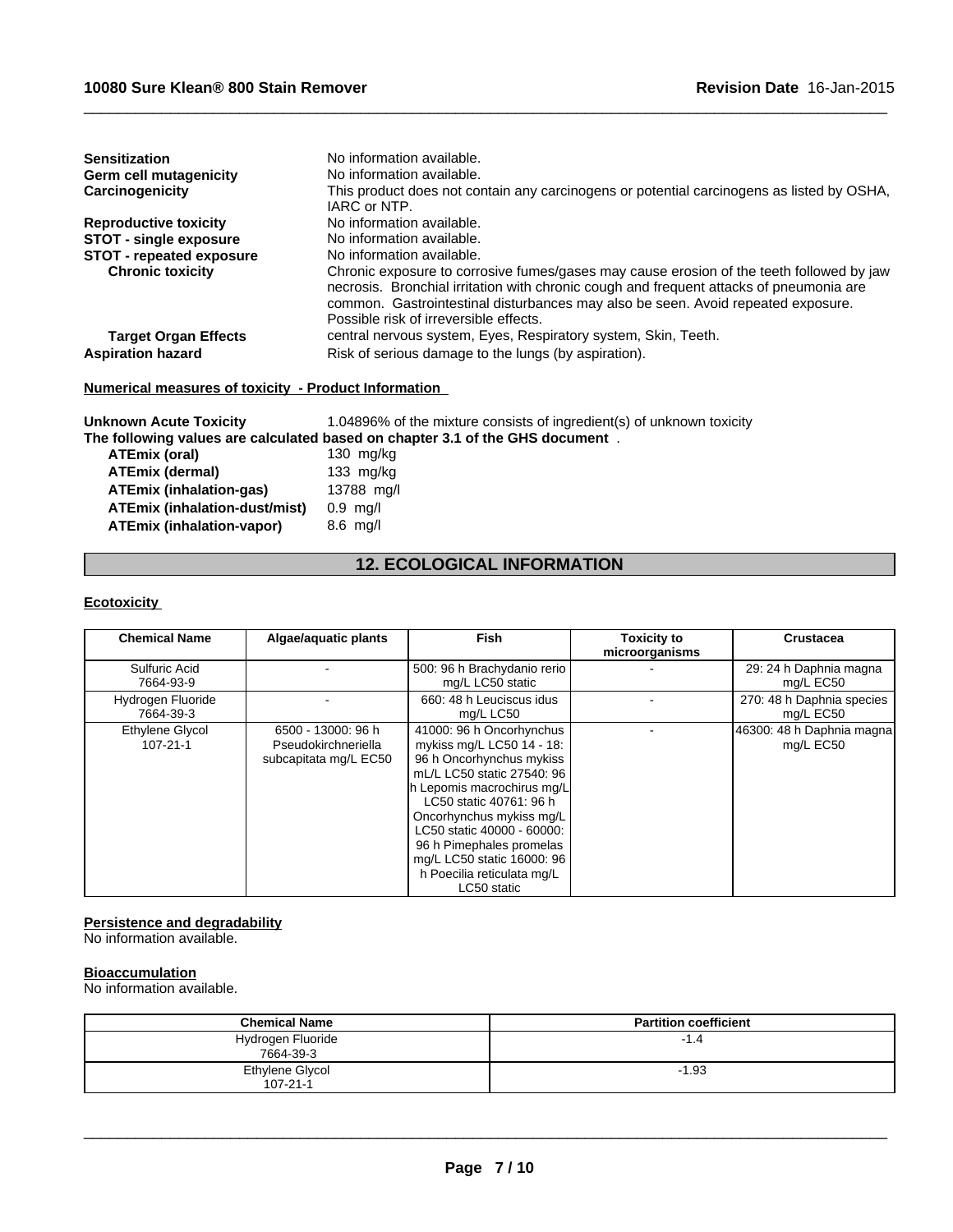| <b>Sensitization</b><br><b>Germ cell mutagenicity</b><br>Carcinogenicity | No information available.<br>No information available.<br>This product does not contain any carcinogens or potential carcinogens as listed by OSHA,<br>IARC or NTP.                                                                                                                                               |
|--------------------------------------------------------------------------|-------------------------------------------------------------------------------------------------------------------------------------------------------------------------------------------------------------------------------------------------------------------------------------------------------------------|
| <b>Reproductive toxicity</b>                                             | No information available.                                                                                                                                                                                                                                                                                         |
| <b>STOT - single exposure</b>                                            | No information available.                                                                                                                                                                                                                                                                                         |
| <b>STOT - repeated exposure</b>                                          | No information available.                                                                                                                                                                                                                                                                                         |
| <b>Chronic toxicity</b>                                                  | Chronic exposure to corrosive fumes/gases may cause erosion of the teeth followed by jaw<br>necrosis. Bronchial irritation with chronic cough and frequent attacks of pneumonia are<br>common. Gastrointestinal disturbances may also be seen. Avoid repeated exposure.<br>Possible risk of irreversible effects. |
| <b>Target Organ Effects</b>                                              | central nervous system, Eyes, Respiratory system, Skin, Teeth.                                                                                                                                                                                                                                                    |
| <b>Aspiration hazard</b>                                                 | Risk of serious damage to the lungs (by aspiration).                                                                                                                                                                                                                                                              |

# **Numerical measures of toxicity - Product Information**

| <b>Unknown Acute Toxicity</b>        | 1.04896% of the mixture consists of ingredient(s) of unknown toxicity         |
|--------------------------------------|-------------------------------------------------------------------------------|
|                                      | The following values are calculated based on chapter 3.1 of the GHS document. |
| ATEmix (oral)                        | 130 $mg/kg$                                                                   |
| <b>ATEmix (dermal)</b>               | 133 $mg/kg$                                                                   |
| ATEmix (inhalation-gas)              | 13788 mg/l                                                                    |
| <b>ATEmix (inhalation-dust/mist)</b> | $0.9$ mg/l                                                                    |
| <b>ATEmix (inhalation-vapor)</b>     | $8.6$ mg/l                                                                    |

# **12. ECOLOGICAL INFORMATION**

#### **Ecotoxicity**

| <b>Chemical Name</b>              | Algae/aquatic plants                                               | <b>Fish</b>                                                                                                                                                                                                                                                                                                                               | <b>Toxicity to</b><br>microorganisms | <b>Crustacea</b>                       |
|-----------------------------------|--------------------------------------------------------------------|-------------------------------------------------------------------------------------------------------------------------------------------------------------------------------------------------------------------------------------------------------------------------------------------------------------------------------------------|--------------------------------------|----------------------------------------|
| Sulfuric Acid<br>7664-93-9        |                                                                    | 500: 96 h Brachydanio rerio<br>mg/L LC50 static                                                                                                                                                                                                                                                                                           |                                      | 29: 24 h Daphnia magna<br>mg/L EC50    |
| Hydrogen Fluoride<br>7664-39-3    |                                                                    | 660: 48 h Leuciscus idus<br>mg/L LC50                                                                                                                                                                                                                                                                                                     |                                      | 270: 48 h Daphnia species<br>mg/L EC50 |
| Ethylene Glycol<br>$107 - 21 - 1$ | 6500 - 13000: 96 h<br>Pseudokirchneriella<br>subcapitata mg/L EC50 | 41000: 96 h Oncorhynchus<br>mykiss mg/L LC50 14 - 18:<br>96 h Oncorhynchus mykiss<br>mL/L LC50 static 27540: 96<br>h Lepomis macrochirus mg/L<br>LC50 static 40761: 96 h<br>Oncorhynchus mykiss mg/L<br>LC50 static 40000 - 60000:<br>96 h Pimephales promelas<br>mg/L LC50 static 16000: 96<br>h Poecilia reticulata mg/L<br>LC50 static |                                      | 46300: 48 h Daphnia magna<br>mg/L EC50 |

#### **Persistence and degradability**

No information available.

#### **Bioaccumulation**

No information available.

| <b>Chemical Name</b>              | <b>Partition coefficient</b> |
|-----------------------------------|------------------------------|
| Hydrogen Fluoride<br>7664-39-3    | $-1.4$                       |
| Ethylene Glycol<br>$107 - 21 - 1$ | $-1.93$                      |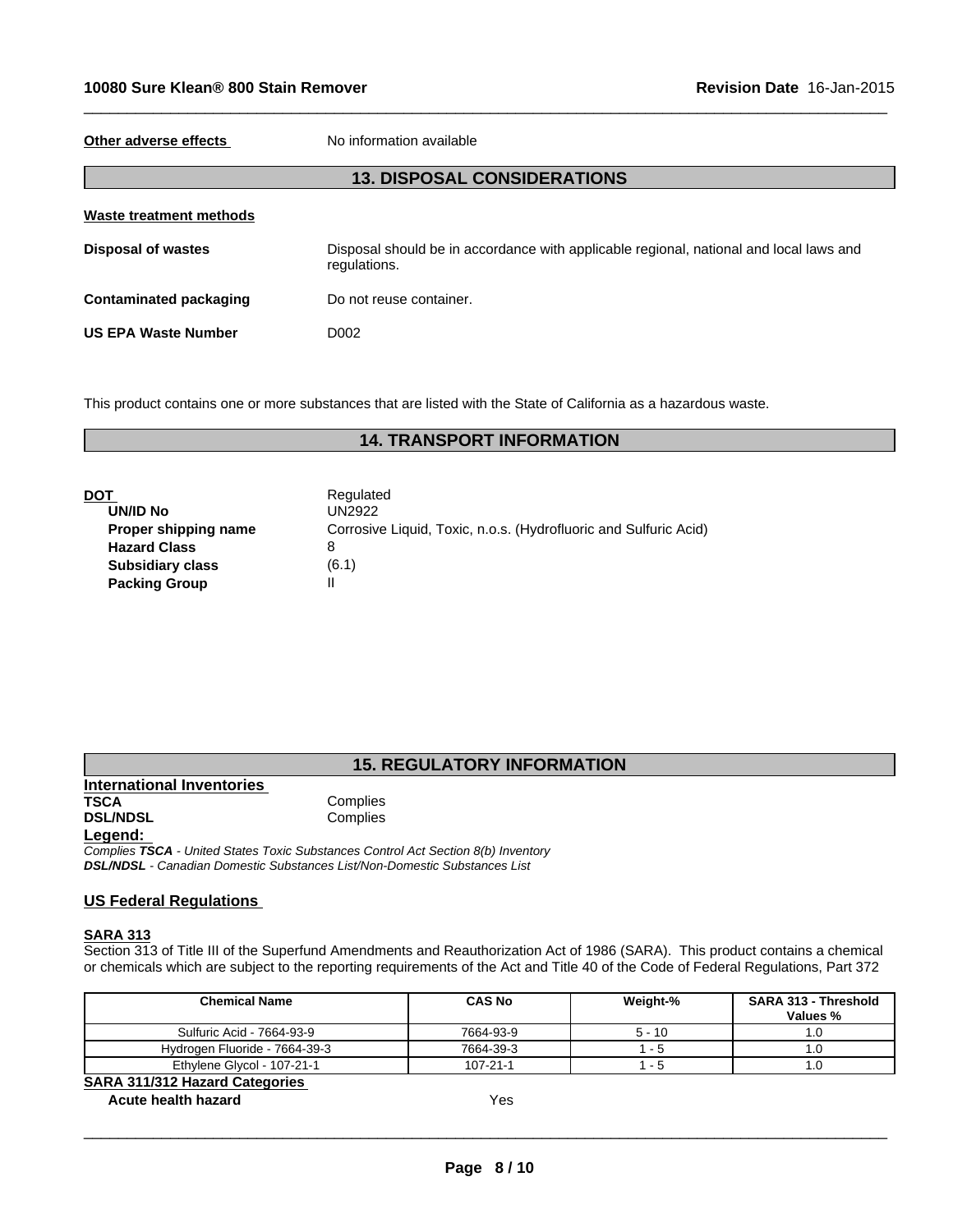**Other adverse effects** No information available

#### **13. DISPOSAL CONSIDERATIONS**

 $\_$  ,  $\_$  ,  $\_$  ,  $\_$  ,  $\_$  ,  $\_$  ,  $\_$  ,  $\_$  ,  $\_$  ,  $\_$  ,  $\_$  ,  $\_$  ,  $\_$  ,  $\_$  ,  $\_$  ,  $\_$  ,  $\_$  ,  $\_$  ,  $\_$  ,  $\_$  ,  $\_$  ,  $\_$  ,  $\_$  ,  $\_$  ,  $\_$  ,  $\_$  ,  $\_$  ,  $\_$  ,  $\_$  ,  $\_$  ,  $\_$  ,  $\_$  ,  $\_$  ,  $\_$  ,  $\_$  ,  $\_$  ,  $\_$  ,

| Waste treatment methods       |                                                                                                        |
|-------------------------------|--------------------------------------------------------------------------------------------------------|
| <b>Disposal of wastes</b>     | Disposal should be in accordance with applicable regional, national and local laws and<br>regulations. |
| <b>Contaminated packaging</b> | Do not reuse container.                                                                                |
| <b>US EPA Waste Number</b>    | D002                                                                                                   |

This product contains one or more substances that are listed with the State of California as a hazardous waste.

# **14. TRANSPORT INFORMATION**

|                         | Regulated                          |
|-------------------------|------------------------------------|
| <b>UN/ID No</b>         | <b>UN2922</b>                      |
| Proper shipping name    | Corrosive Liquid, Toxic, n.o.s. (H |
| <b>Hazard Class</b>     | 8                                  |
| <b>Subsidiary class</b> | (6.1)                              |
| <b>Packing Group</b>    |                                    |

rrosive Liquid, Toxic, n.o.s. (Hydrofluoric and Sulfuric Acid)

# **15. REGULATORY INFORMATION**

**International Inventories TSCA** Complies **DSL/NDSL** Complies **Legend:** 

*Complies TSCA - United States Toxic Substances Control Act Section 8(b) Inventory DSL/NDSL - Canadian Domestic Substances List/Non-Domestic Substances List*

### **US Federal Regulations**

#### **SARA 313**

Section 313 of Title III of the Superfund Amendments and Reauthorization Act of 1986 (SARA). This product contains a chemical or chemicals which are subject to the reporting requirements of the Act and Title 40 of the Code of Federal Regulations, Part 372

| <b>Chemical Name</b>                  | <b>CAS No</b>  | Weight-% | <b>SARA 313 - Threshold</b><br><b>Values %</b> |
|---------------------------------------|----------------|----------|------------------------------------------------|
| Sulfuric Acid - 7664-93-9             | 7664-93-9      | $5 - 10$ | I.O                                            |
| Hydrogen Fluoride - 7664-39-3         | 7664-39-3      | - 5      | ]. ا                                           |
| Ethylene Glycol - 107-21-1            | $107 - 21 - 1$ | - 5      | I.O                                            |
| <b>SARA 311/312 Hazard Categories</b> |                |          |                                                |

# **Acute health hazard** Yes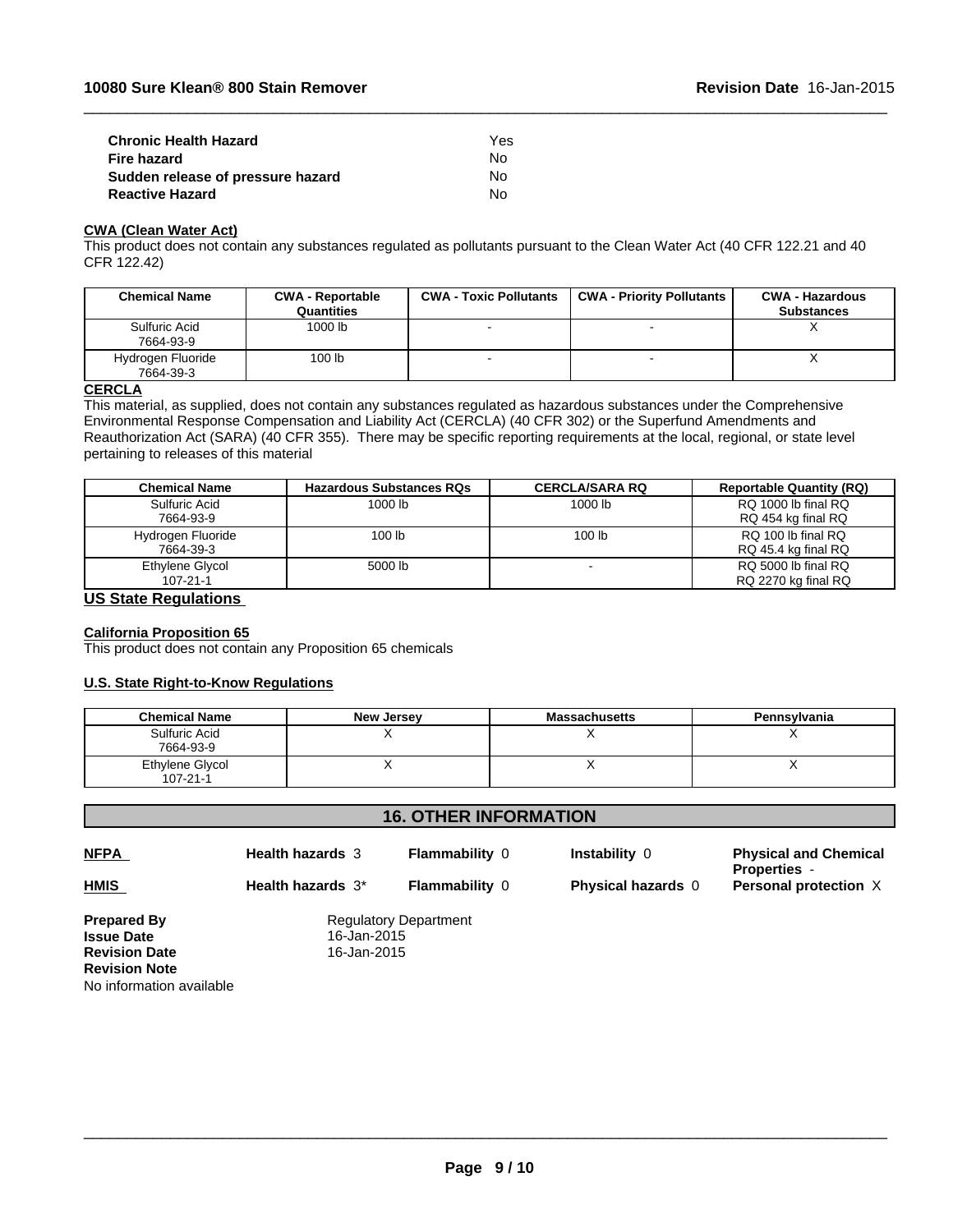| <b>Chronic Health Hazard</b>      | Yes |  |
|-----------------------------------|-----|--|
| <b>Fire hazard</b>                | N٥  |  |
| Sudden release of pressure hazard | N٥  |  |
| <b>Reactive Hazard</b>            | N٥  |  |

# **CWA (Clean Water Act)**

This product does not contain any substances regulated as pollutants pursuant to the Clean Water Act (40 CFR 122.21 and 40 CFR 122.42)

 $\_$  ,  $\_$  ,  $\_$  ,  $\_$  ,  $\_$  ,  $\_$  ,  $\_$  ,  $\_$  ,  $\_$  ,  $\_$  ,  $\_$  ,  $\_$  ,  $\_$  ,  $\_$  ,  $\_$  ,  $\_$  ,  $\_$  ,  $\_$  ,  $\_$  ,  $\_$  ,  $\_$  ,  $\_$  ,  $\_$  ,  $\_$  ,  $\_$  ,  $\_$  ,  $\_$  ,  $\_$  ,  $\_$  ,  $\_$  ,  $\_$  ,  $\_$  ,  $\_$  ,  $\_$  ,  $\_$  ,  $\_$  ,  $\_$  ,

| <b>Chemical Name</b>           | <b>CWA - Reportable</b><br>Quantities | <b>CWA - Toxic Pollutants</b> | <b>CWA - Priority Pollutants</b> | <b>CWA - Hazardous</b><br><b>Substances</b> |
|--------------------------------|---------------------------------------|-------------------------------|----------------------------------|---------------------------------------------|
| Sulfuric Acid<br>7664-93-9     | 1000 lb                               |                               | $\,$                             |                                             |
| Hydrogen Fluoride<br>7664-39-3 | 100 lb                                |                               | -                                |                                             |

#### **CERCLA**

This material, as supplied, does not contain any substances regulated as hazardous substances under the Comprehensive Environmental Response Compensation and Liability Act (CERCLA) (40 CFR 302) or the Superfund Amendments and Reauthorization Act (SARA) (40 CFR 355). There may be specific reporting requirements at the local, regional, or state level pertaining to releases of this material

| <b>Chemical Name</b> | <b>Hazardous Substances RQs</b> | <b>CERCLA/SARA RQ</b> | <b>Reportable Quantity (RQ)</b> |
|----------------------|---------------------------------|-----------------------|---------------------------------|
| Sulfuric Acid        | 1000 lb                         | 1000 lb               | RQ 1000 lb final RQ             |
| 7664-93-9            |                                 |                       | RQ 454 kg final RQ              |
| Hydrogen Fluoride    | 100 <sub>lb</sub>               | 100 <sub>lb</sub>     | RQ 100 lb final RQ              |
| 7664-39-3            |                                 |                       | RQ 45.4 kg final RQ             |
| Ethylene Glycol      | 5000 lb                         |                       | RQ 5000 lb final RQ             |
| $107 - 21 - 1$       |                                 |                       | RQ 2270 kg final RQ             |

### **US State Regulations**

#### **California Proposition 65**

This product does not contain any Proposition 65 chemicals

#### **U.S. State Right-to-Know Regulations**

| <b>Chemical Name</b>              | <b>New Jersey</b> | <b>Massachusetts</b> | Pennsylvania |
|-----------------------------------|-------------------|----------------------|--------------|
| Sulfuric Acid<br>7664-93-9        |                   |                      |              |
| Ethylene Glycol<br>$107 - 21 - 1$ |                   |                      |              |

#### **16. OTHER INFORMATION Prepared By**<br> **Issue Date**<br> **ISSUE Date**<br> **Regulatory Department Issue Date** 16-Jan-2015 **Revision Date Revision Note** No information available **NFPA Health hazards** 3 **Flammability** 0 **Instability** 0 **Physical and Chemical Properties** - **HMIS Health hazards 3<sup>\*</sup> <b>Flammability 0 Physical hazards 0 Personal protection**  $X$